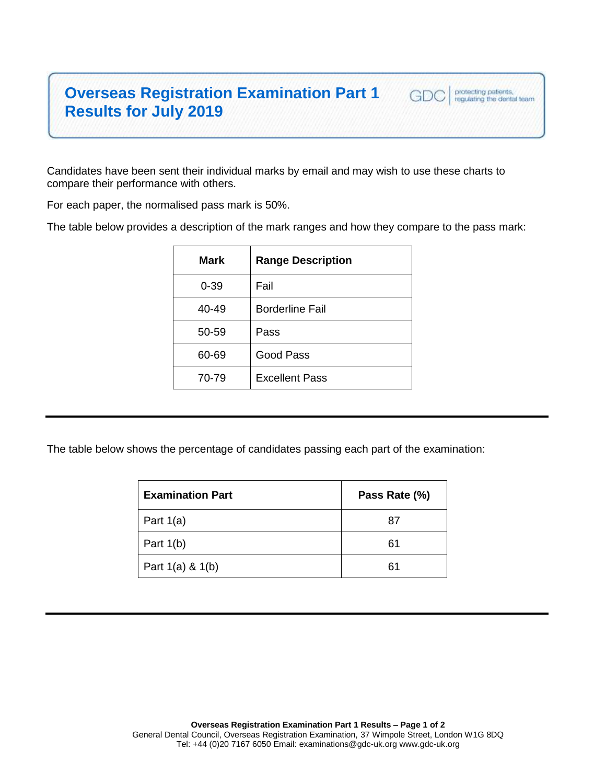## **Overseas Registration Examination Part 1 Results for July 2019**

Candidates have been sent their individual marks by email and may wish to use these charts to compare their performance with others.

For each paper, the normalised pass mark is 50%.

The table below provides a description of the mark ranges and how they compare to the pass mark:

protecting patients,<br>regulating the dental team

GDC

| Mark     | <b>Range Description</b> |
|----------|--------------------------|
| $0 - 39$ | Fail                     |
| 40-49    | <b>Borderline Fail</b>   |
| 50-59    | Pass                     |
| 60-69    | Good Pass                |
| 70-79    | <b>Excellent Pass</b>    |
|          |                          |

The table below shows the percentage of candidates passing each part of the examination:

| <b>Examination Part</b> | Pass Rate (%) |
|-------------------------|---------------|
| Part $1(a)$             | 87            |
| Part $1(b)$             | 61            |
| Part $1(a) 8 1(b)$      | 61            |